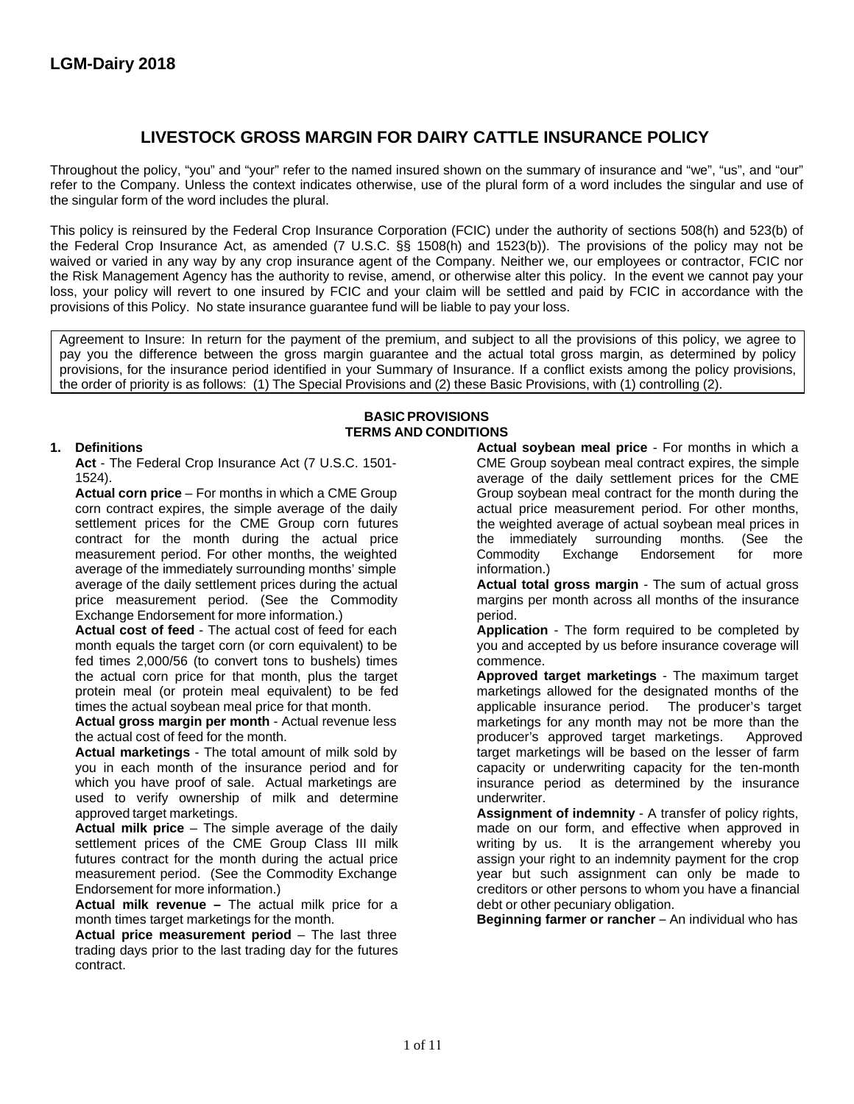# **LIVESTOCK GROSS MARGIN FOR DAIRY CATTLE INSURANCE POLICY**

Throughout the policy, "you" and "your" refer to the named insured shown on the summary of insurance and "we", "us", and "our" refer to the Company. Unless the context indicates otherwise, use of the plural form of a word includes the singular and use of the singular form of the word includes the plural.

This policy is reinsured by the Federal Crop Insurance Corporation (FCIC) under the authority of sections 508(h) and 523(b) of the Federal Crop Insurance Act, as amended (7 U.S.C. §§ 1508(h) and 1523(b)). The provisions of the policy may not be waived or varied in any way by any crop insurance agent of the Company. Neither we, our employees or contractor, FCIC nor the Risk Management Agency has the authority to revise, amend, or otherwise alter this policy. In the event we cannot pay your loss, your policy will revert to one insured by FCIC and your claim will be settled and paid by FCIC in accordance with the provisions of this Policy. No state insurance guarantee fund will be liable to pay your loss.

Agreement to Insure: In return for the payment of the premium, and subject to all the provisions of this policy, we agree to pay you the difference between the gross margin guarantee and the actual total gross margin, as determined by policy provisions, for the insurance period identified in your Summary of Insurance. If a conflict exists among the policy provisions, the order of priority is as follows: (1) The Special Provisions and (2) these Basic Provisions, with (1) controlling (2).

> **BASIC PROVISIONS TERMS AND CONDITIONS**

settlement prices for the CME Group corn futures the weighted average of actual soybean me<br>contract for the month during the actual price the immediately surrounding months. measurement period. For other months, the weighted Commodity Exchange Endorsement for more average of the immediately surrounding months' simple information.) average of the daily settlement prices during the actual **Actual total gross margin** - The sum of actual gross price measurement period. (See the Commodity margins per month across all months of the insurance Exchange Endorsement for more information.) Exchange Endorsement for more information.)

**Actual cost of feed** - The actual cost of feed for each **Application** - The form required to be completed by month equals the target corn (or corn equivalent) to be vou and accepted by us before insurance coverage will month equals the target corn (or corn equivalent) to be fed times 2,000/56 (to convert tons to bushels) times commence.<br>the actual corn price for that month, plus the target **Approved target marketings** - The maximum target the actual corn price for that month, plus the target protein meal (or protein meal equivalent) to be fed marketings allowed for the designated months of the

you in each month of the insurance period and for capacity or underwriting capacity for the ten-month which you have proof of sale. Actual marketings are insurance period as determined by the insurance used to verify ownership of milk and determine **underwriter**.

**Actual milk price** – The simple average of the daily and on our form, and effective when approved in settlement prices of the CME Group Class III milk and writing by us. It is the arrangement whereby you settlement prices of the CME Group Class III milk futures contract for the month during the actual price futures contract for the month during the actual price assign your right to an indemnity payment for the crop<br>measurement period. (See the Commodity Exchange year but such assignment can only be made to measurement period. (See the Commodity Exchange year but such assignment can only be made to<br>Endorsement for more information.) example and the creditors or other persons to whom you have a financial

**Actual milk revenue** – The actual milk price for a debt or other pecuniary obligation. month times target marketings for the month. **Beginning farmer or rancher** – An individual who has

**Actual price measurement period** – The last three trading days prior to the last trading day for the futures contract.

**1. Definitions Actual soybean meal price** - For months in which a CME Group soybean meal contract expires, the simple 1524). average of the daily settlement prices for the CME **Actual corn price** – For months in which a CME Group Group Group soybean meal contract for the month during the corn contract expires, the simple average of the daily actual price measurement period. For other months, actual price measurement period. For other months, the weighted average of actual soybean meal prices in contract for the month during the actual price the immediately surrounding months. (See the

times the actual soybean meal price for that month.<br> **Actual gross margin per month** - Actual revenue less marketings for any month may not be more than the **Actual gross margin per month** - Actual revenue less marketings for any month may not be more than the the actual cost of feed for the month. the actual cost of feed for the month.<br> **Actual marketings** - The total amount of milk sold by **producer's** approved target marketings will be based on the le target marketings will be based on the lesser of farm

approved target marketings.<br> **Assignment of indemnity** - A transfer of policy rights,<br> **Actual milk price** – The simple average of the daily and a made on our form, and effective when approved in creditors or other persons to whom you have a financial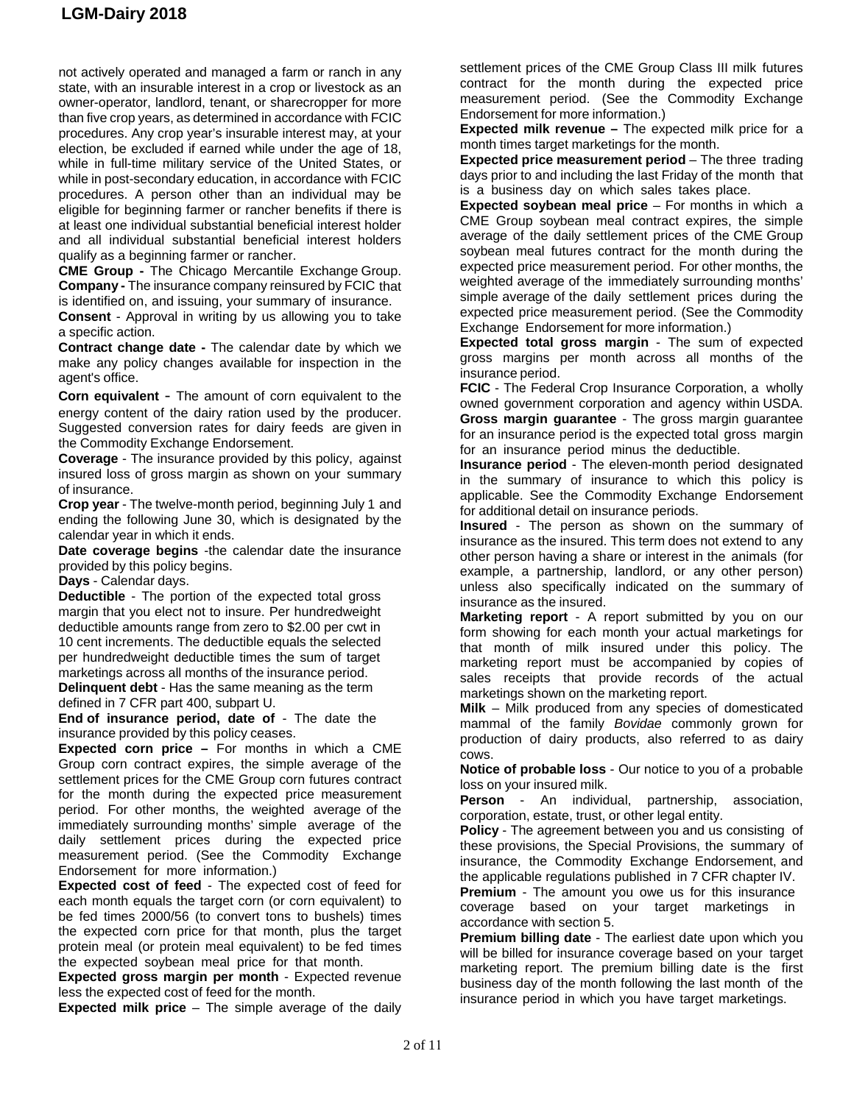not actively operated and managed a farm or ranch in any state, with an insurable interest in a crop or livestock as an owner-operator, landlord, tenant, or sharecropper for more than five crop years, as determined in accordance with FCIC procedures. Any crop year's insurable interest may, at your election, be excluded if earned while under the age of 18, while in full-time military service of the United States, or while in post-secondary education, in accordance with FCIC procedures. A person other than an individual may be eligible for beginning farmer or rancher benefits if there is at least one individual substantial beneficial interest holder and all individual substantial beneficial interest holders qualify as a beginning farmer or rancher.

**CME Group -** The Chicago Mercantile Exchange Group. **Company -** The insurance company reinsured by FCIC that is identified on, and issuing, your summary of insurance.

**Consent** - Approval in writing by us allowing you to take a specific action.

**Contract change date -** The calendar date by which we make any policy changes available for inspection in the agent's office.

**Corn equivalent** - The amount of corn equivalent to the energy content of the dairy ration used by the producer. Suggested conversion rates for dairy feeds are given in the Commodity Exchange Endorsement.

**Coverage** - The insurance provided by this policy, against insured loss of gross margin as shown on your summary of insurance.

**Crop year** - The twelve-month period, beginning July 1 and ending the following June 30, which is designated by the calendar year in which it ends.

**Date coverage begins** -the calendar date the insurance provided by this policy begins.

**Days** - Calendar days.

**Deductible** - The portion of the expected total gross margin that you elect not to insure. Per hundredweight deductible amounts range from zero to \$2.00 per cwt in 10 cent increments. The deductible equals the selected per hundredweight deductible times the sum of target marketings across all months of the insurance period.

**Delinquent debt** - Has the same meaning as the term defined in 7 CFR part 400, subpart U.

**End of insurance period, date of** - The date the insurance provided by this policy ceases.

**Expected corn price –** For months in which a CME Group corn contract expires, the simple average of the settlement prices for the CME Group corn futures contract for the month during the expected price measurement period. For other months, the weighted average of the immediately surrounding months' simple average of the daily settlement prices during the expected price measurement period. (See the Commodity Exchange Endorsement for more information.)

**Expected cost of feed** - The expected cost of feed for each month equals the target corn (or corn equivalent) to be fed times 2000/56 (to convert tons to bushels) times the expected corn price for that month, plus the target protein meal (or protein meal equivalent) to be fed times the expected soybean meal price for that month.

**Expected gross margin per month** - Expected revenue less the expected cost of feed for the month.

**Expected milk price** – The simple average of the daily

settlement prices of the CME Group Class III milk futures contract for the month during the expected price measurement period. (See the Commodity Exchange Endorsement for more information.)

**Expected milk revenue –** The expected milk price for a month times target marketings for the month.

**Expected price measurement period** – The three trading days prior to and including the last Friday of the month that is a business day on which sales takes place.

**Expected soybean meal price** – For months in which a CME Group soybean meal contract expires, the simple average of the daily settlement prices of the CME Group soybean meal futures contract for the month during the expected price measurement period. For other months, the weighted average of the immediately surrounding months' simple average of the daily settlement prices during the expected price measurement period. (See the Commodity Exchange Endorsement for more information.)

**Expected total gross margin** - The sum of expected gross margins per month across all months of the insurance period.

**FCIC** - The Federal Crop Insurance Corporation, a wholly owned government corporation and agency within USDA. **Gross margin guarantee** - The gross margin guarantee for an insurance period is the expected total gross margin for an insurance period minus the deductible.

**Insurance period** - The eleven-month period designated in the summary of insurance to which this policy is applicable. See the Commodity Exchange Endorsement for additional detail on insurance periods.

**Insured** - The person as shown on the summary of insurance as the insured. This term does not extend to any other person having a share or interest in the animals (for example, a partnership, landlord, or any other person) unless also specifically indicated on the summary of insurance as the insured.

**Marketing report** - A report submitted by you on our form showing for each month your actual marketings for that month of milk insured under this policy. The marketing report must be accompanied by copies of sales receipts that provide records of the actual marketings shown on the marketing report.

**Milk** – Milk produced from any species of domesticated mammal of the family *Bovidae* commonly grown for production of dairy products, also referred to as dairy cows.

**Notice of probable loss** - Our notice to you of a probable loss on your insured milk.

**Person** - An individual, partnership, association, corporation, estate, trust, or other legal entity.

**Policy** - The agreement between you and us consisting of these provisions, the Special Provisions, the summary of insurance, the Commodity Exchange Endorsement, and the applicable regulations published in 7 CFR chapter IV.

**Premium** - The amount you owe us for this insurance coverage based on your target marketings in accordance with section 5.

**Premium billing date** - The earliest date upon which you will be billed for insurance coverage based on your target marketing report. The premium billing date is the first business day of the month following the last month of the insurance period in which you have target marketings.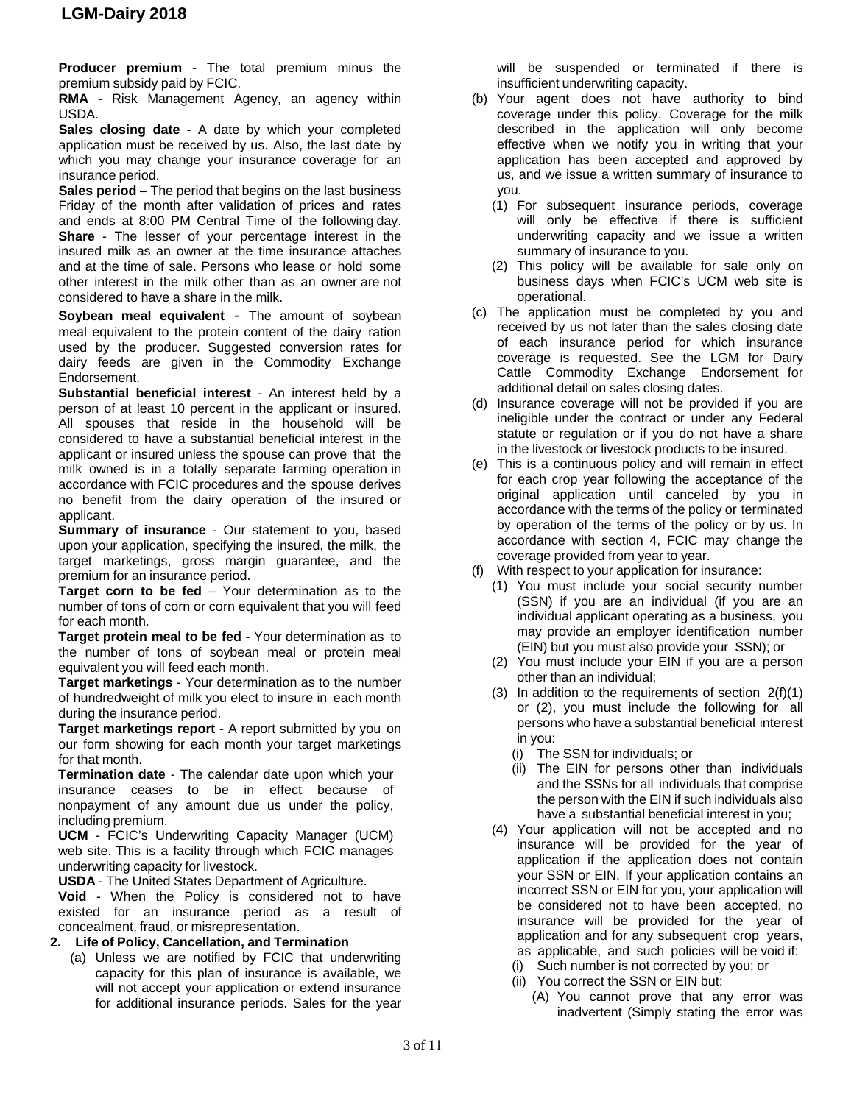**Producer premium** - The total premium minus the premium subsidy paid by FCIC.

**RMA** - Risk Management Agency, an agency within USDA.

**Sales closing date** - A date by which your completed application must be received by us. Also, the last date by which you may change your insurance coverage for an insurance period.

**Sales period** – The period that begins on the last business Friday of the month after validation of prices and rates and ends at 8:00 PM Central Time of the following day. **Share** - The lesser of your percentage interest in the insured milk as an owner at the time insurance attaches and at the time of sale. Persons who lease or hold some other interest in the milk other than as an owner are not considered to have a share in the milk.

**Soybean meal equivalent** - The amount of soybean meal equivalent to the protein content of the dairy ration used by the producer. Suggested conversion rates for dairy feeds are given in the Commodity Exchange Endorsement.

**Substantial beneficial interest** - An interest held by a person of at least 10 percent in the applicant or insured. All spouses that reside in the household will be considered to have a substantial beneficial interest in the applicant or insured unless the spouse can prove that the milk owned is in a totally separate farming operation in accordance with FCIC procedures and the spouse derives no benefit from the dairy operation of the insured or applicant.

**Summary of insurance** - Our statement to you, based upon your application, specifying the insured, the milk, the target marketings, gross margin guarantee, and the premium for an insurance period.

**Target corn to be fed** – Your determination as to the number of tons of corn or corn equivalent that you will feed for each month.

**Target protein meal to be fed** - Your determination as to the number of tons of soybean meal or protein meal equivalent you will feed each month.

**Target marketings** - Your determination as to the number of hundredweight of milk you elect to insure in each month during the insurance period.

**Target marketings report** - A report submitted by you on our form showing for each month your target marketings for that month.

**Termination date** - The calendar date upon which your insurance ceases to be in effect because of nonpayment of any amount due us under the policy, including premium.

**UCM** - FCIC's Underwriting Capacity Manager (UCM) web site. This is a facility through which FCIC manages underwriting capacity for livestock.

**USDA** - The United States Department of Agriculture.

**Void** - When the Policy is considered not to have existed for an insurance period as a result of concealment, fraud, or misrepresentation.

#### **2. Life of Policy, Cancellation, and Termination**

(a) Unless we are notified by FCIC that underwriting capacity for this plan of insurance is available, we will not accept your application or extend insurance for additional insurance periods. Sales for the year

will be suspended or terminated if there is insufficient underwriting capacity.

- (b) Your agent does not have authority to bind coverage under this policy. Coverage for the milk described in the application will only become effective when we notify you in writing that your application has been accepted and approved by us, and we issue a written summary of insurance to you.
	- (1) For subsequent insurance periods, coverage will only be effective if there is sufficient underwriting capacity and we issue a written summary of insurance to you.
	- (2) This policy will be available for sale only on business days when FCIC's UCM web site is operational.
- (c) The application must be completed by you and received by us not later than the sales closing date of each insurance period for which insurance coverage is requested. See the LGM for Dairy Cattle Commodity Exchange Endorsement for additional detail on sales closing dates.
- (d) Insurance coverage will not be provided if you are ineligible under the contract or under any Federal statute or regulation or if you do not have a share in the livestock or livestock products to be insured.
- (e) This is a continuous policy and will remain in effect for each crop year following the acceptance of the original application until canceled by you in accordance with the terms of the policy or terminated by operation of the terms of the policy or by us. In accordance with section 4, FCIC may change the coverage provided from year to year.
- (f) With respect to your application for insurance:
	- (1) You must include your social security number (SSN) if you are an individual (if you are an individual applicant operating as a business, you may provide an employer identification number (EIN) but you must also provide your SSN); or
	- (2) You must include your EIN if you are a person other than an individual;
	- (3) In addition to the requirements of section 2(f)(1) or (2), you must include the following for all persons who have a substantial beneficial interest in you:
		- (i) The SSN for individuals; or
		- (ii) The EIN for persons other than individuals and the SSNs for all individuals that comprise the person with the EIN if such individuals also have a substantial beneficial interest in you;
	- (4) Your application will not be accepted and no insurance will be provided for the year of application if the application does not contain your SSN or EIN. If your application contains an incorrect SSN or EIN for you, your application will be considered not to have been accepted, no insurance will be provided for the year of application and for any subsequent crop years, as applicable, and such policies will be void if:
		- (i) Such number is not corrected by you; or (ii) You correct the SSN or EIN but:
			- (A) You cannot prove that any error was inadvertent (Simply stating the error was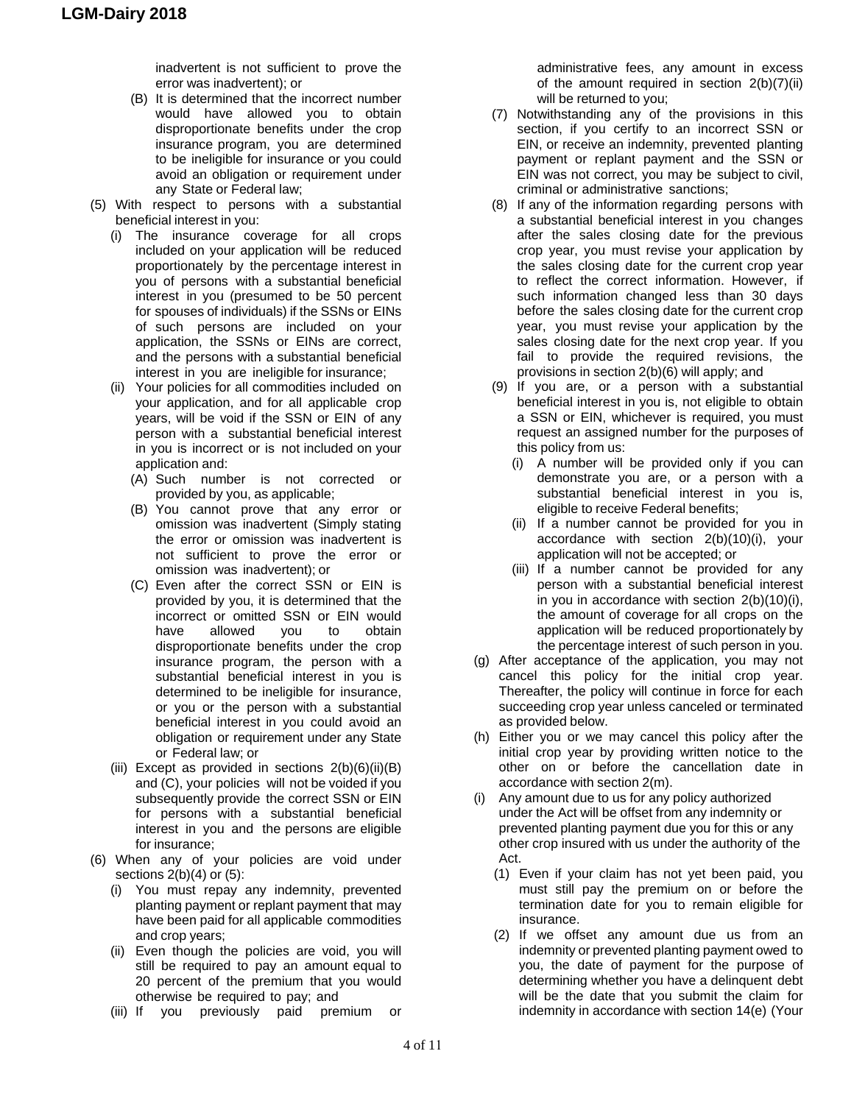inadvertent is not sufficient to prove the error was inadvertent); or

- (B) It is determined that the incorrect number would have allowed you to obtain disproportionate benefits under the crop insurance program, you are determined to be ineligible for insurance or you could avoid an obligation or requirement under any State or Federal law;
- (5) With respect to persons with a substantial beneficial interest in you:
	- (i) The insurance coverage for all crops included on your application will be reduced proportionately by the percentage interest in you of persons with a substantial beneficial interest in you (presumed to be 50 percent for spouses of individuals) if the SSNs or EINs of such persons are included on your application, the SSNs or EINs are correct, and the persons with a substantial beneficial interest in you are ineligible for insurance;
	- (ii) Your policies for all commodities included on your application, and for all applicable crop years, will be void if the SSN or EIN of any person with a substantial beneficial interest in you is incorrect or is not included on your application and:
		- (A) Such number is not corrected or provided by you, as applicable;
		- (B) You cannot prove that any error or omission was inadvertent (Simply stating the error or omission was inadvertent is not sufficient to prove the error or omission was inadvertent); or
		- (C) Even after the correct SSN or EIN is provided by you, it is determined that the incorrect or omitted SSN or EIN would have allowed you to obtain disproportionate benefits under the crop insurance program, the person with a substantial beneficial interest in you is determined to be ineligible for insurance, or you or the person with a substantial beneficial interest in you could avoid an obligation or requirement under any State or Federal law; or
	- (iii) Except as provided in sections  $2(b)(6)(ii)(B)$ and (C), your policies will not be voided if you subsequently provide the correct SSN or EIN for persons with a substantial beneficial interest in you and the persons are eligible for insurance;
- (6) When any of your policies are void under sections  $2(b)(4)$  or  $(5)$ :
	- (i) You must repay any indemnity, prevented planting payment or replant payment that may have been paid for all applicable commodities and crop years;
	- (ii) Even though the policies are void, you will still be required to pay an amount equal to 20 percent of the premium that you would otherwise be required to pay; and
	- (iii) If you previously paid premium or

administrative fees, any amount in excess of the amount required in section 2(b)(7)(ii) will be returned to you;

- (7) Notwithstanding any of the provisions in this section, if you certify to an incorrect SSN or EIN, or receive an indemnity, prevented planting payment or replant payment and the SSN or EIN was not correct, you may be subject to civil, criminal or administrative sanctions;
- (8) If any of the information regarding persons with a substantial beneficial interest in you changes after the sales closing date for the previous crop year, you must revise your application by the sales closing date for the current crop year to reflect the correct information. However, if such information changed less than 30 days before the sales closing date for the current crop year, you must revise your application by the sales closing date for the next crop year. If you fail to provide the required revisions, the provisions in section 2(b)(6) will apply; and
- (9) If you are, or a person with a substantial beneficial interest in you is, not eligible to obtain a SSN or EIN, whichever is required, you must request an assigned number for the purposes of this policy from us:
	- (i) A number will be provided only if you can demonstrate you are, or a person with a substantial beneficial interest in you is, eligible to receive Federal benefits;
	- (ii) If a number cannot be provided for you in accordance with section 2(b)(10)(i), your application will not be accepted; or
	- (iii) If a number cannot be provided for any person with a substantial beneficial interest in you in accordance with section 2(b)(10)(i), the amount of coverage for all crops on the application will be reduced proportionately by the percentage interest of such person in you.
- (g) After acceptance of the application, you may not cancel this policy for the initial crop year. Thereafter, the policy will continue in force for each succeeding crop year unless canceled or terminated as provided below.
- (h) Either you or we may cancel this policy after the initial crop year by providing written notice to the other on or before the cancellation date in accordance with section 2(m).
- (i) Any amount due to us for any policy authorized under the Act will be offset from any indemnity or prevented planting payment due you for this or any other crop insured with us under the authority of the Act.
	- (1) Even if your claim has not yet been paid, you must still pay the premium on or before the termination date for you to remain eligible for insurance.
	- (2) If we offset any amount due us from an indemnity or prevented planting payment owed to you, the date of payment for the purpose of determining whether you have a delinquent debt will be the date that you submit the claim for indemnity in accordance with section 14(e) (Your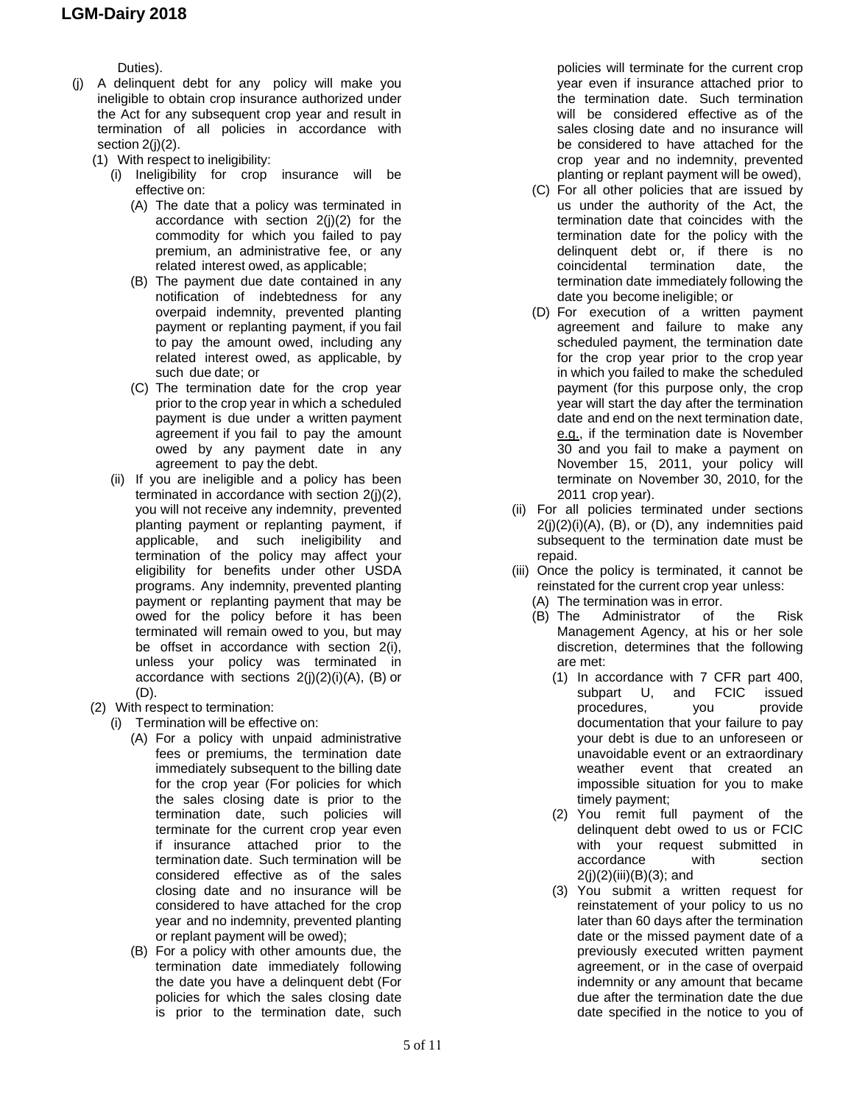Duties).

- (j) A delinquent debt for any policy will make you ineligible to obtain crop insurance authorized under the Act for any subsequent crop year and result in termination of all policies in accordance with section 2(j)(2).
	- (1) With respect to ineligibility:
		- (i) Ineligibility for crop insurance will be effective on:
			- (A) The date that a policy was terminated in accordance with section 2(j)(2) for the commodity for which you failed to pay premium, an administrative fee, or any related interest owed, as applicable;
			- (B) The payment due date contained in any notification of indebtedness for any overpaid indemnity, prevented planting payment or replanting payment, if you fail to pay the amount owed, including any related interest owed, as applicable, by such due date; or
			- (C) The termination date for the crop year prior to the crop year in which a scheduled payment is due under a written payment agreement if you fail to pay the amount owed by any payment date in any agreement to pay the debt.
		- (ii) If you are ineligible and a policy has been terminated in accordance with section 2(j)(2), you will not receive any indemnity, prevented planting payment or replanting payment, if applicable, and such ineligibility and termination of the policy may affect your eligibility for benefits under other USDA programs. Any indemnity, prevented planting payment or replanting payment that may be owed for the policy before it has been terminated will remain owed to you, but may be offset in accordance with section 2(i), unless your policy was terminated in accordance with sections  $2(i)(2)(i)(A)$ , (B) or (D).
	- (2) With respect to termination:
		- (i) Termination will be effective on:
			- (A) For a policy with unpaid administrative fees or premiums, the termination date immediately subsequent to the billing date for the crop year (For policies for which the sales closing date is prior to the termination date, such policies will terminate for the current crop year even if insurance attached prior to the termination date. Such termination will be considered effective as of the sales closing date and no insurance will be considered to have attached for the crop year and no indemnity, prevented planting or replant payment will be owed);
			- (B) For a policy with other amounts due, the termination date immediately following the date you have a delinquent debt (For policies for which the sales closing date is prior to the termination date, such

policies will terminate for the current crop year even if insurance attached prior to the termination date. Such termination will be considered effective as of the sales closing date and no insurance will be considered to have attached for the crop year and no indemnity, prevented planting or replant payment will be owed),

- (C) For all other policies that are issued by us under the authority of the Act, the termination date that coincides with the termination date for the policy with the delinquent debt or, if there is no coincidental termination date, the termination date immediately following the date you become ineligible; or
- (D) For execution of a written payment agreement and failure to make any scheduled payment, the termination date for the crop year prior to the crop year in which you failed to make the scheduled payment (for this purpose only, the crop year will start the day after the termination date and end on the next termination date, e.g., if the termination date is November 30 and you fail to make a payment on November 15, 2011, your policy will terminate on November 30, 2010, for the 2011 crop year).
- (ii) For all policies terminated under sections  $2(i)(2)(i)(A)$ ,  $(B)$ , or  $(D)$ , any indemnities paid subsequent to the termination date must be repaid.
- (iii) Once the policy is terminated, it cannot be reinstated for the current crop year unless:
	- (A) The termination was in error.
	- (B) The Administrator of the Risk Management Agency, at his or her sole discretion, determines that the following are met:
		- (1) In accordance with 7 CFR part 400, subpart U, and FCIC issued<br>procedures, you provide procedures, you documentation that your failure to pay your debt is due to an unforeseen or unavoidable event or an extraordinary weather event that created an impossible situation for you to make timely payment;
		- (2) You remit full payment of the delinquent debt owed to us or FCIC with your request submitted in accordance with section  $2(j)(2)(iii)(B)(3);$  and
		- (3) You submit a written request for reinstatement of your policy to us no later than 60 days after the termination date or the missed payment date of a previously executed written payment agreement, or in the case of overpaid indemnity or any amount that became due after the termination date the due date specified in the notice to you of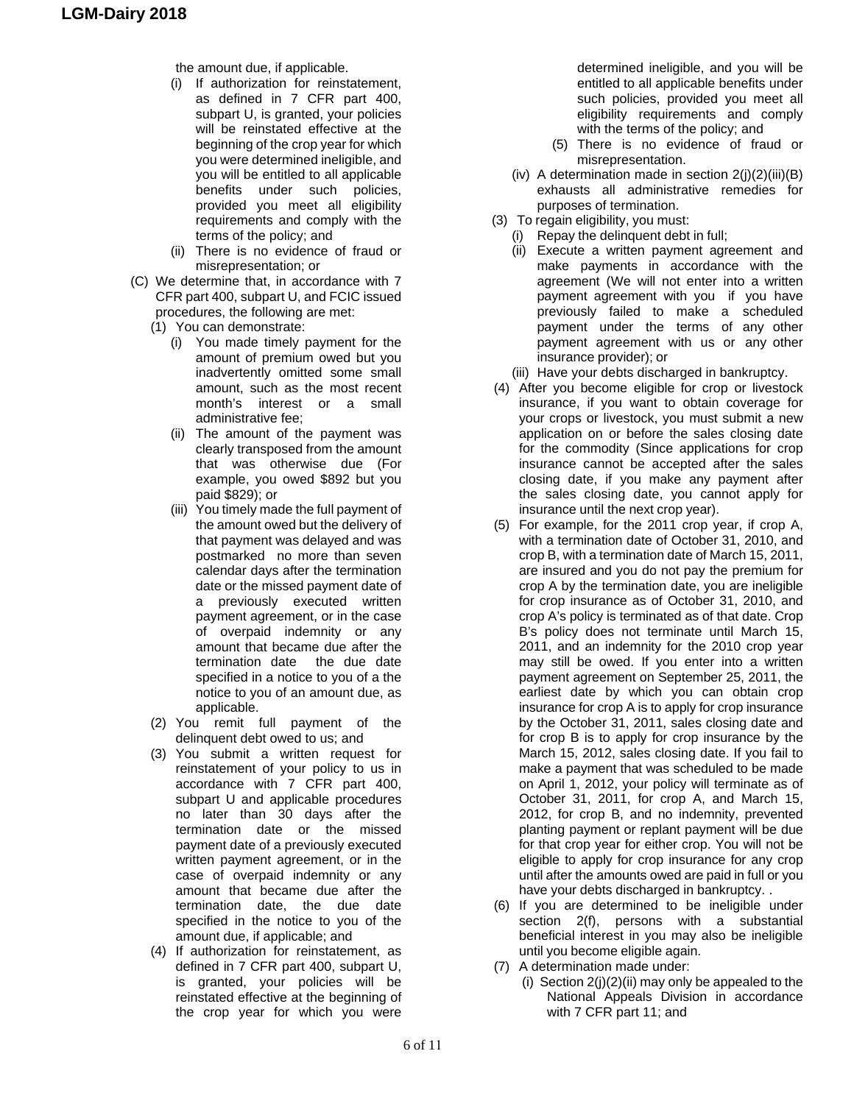- the amount due, if applicable.
- (i) If authorization for reinstatement, as defined in 7 CFR part 400, subpart U, is granted, your policies will be reinstated effective at the beginning of the crop year for which you were determined ineligible, and you will be entitled to all applicable benefits under such policies, provided you meet all eligibility requirements and comply with the terms of the policy; and
- (ii) There is no evidence of fraud or misrepresentation; or
- (C) We determine that, in accordance with 7 CFR part 400, subpart U, and FCIC issued procedures, the following are met:
	- (1) You can demonstrate:
		- (i) You made timely payment for the amount of premium owed but you inadvertently omitted some small amount, such as the most recent month's interest or a small administrative fee;
		- (ii) The amount of the payment was clearly transposed from the amount that was otherwise due (For example, you owed \$892 but you paid \$829); or
		- (iii) You timely made the full payment of the amount owed but the delivery of that payment was delayed and was postmarked no more than seven calendar days after the termination date or the missed payment date of a previously executed written payment agreement, or in the case of overpaid indemnity or any amount that became due after the termination date the due date specified in a notice to you of a the notice to you of an amount due, as applicable.
	- (2) You remit full payment of the delinquent debt owed to us; and
	- (3) You submit a written request for reinstatement of your policy to us in accordance with 7 CFR part 400, subpart U and applicable procedures no later than 30 days after the termination date or the missed payment date of a previously executed written payment agreement, or in the case of overpaid indemnity or any amount that became due after the termination date, the due date specified in the notice to you of the amount due, if applicable; and
	- (4) If authorization for reinstatement, as defined in 7 CFR part 400, subpart U, is granted, your policies will be reinstated effective at the beginning of the crop year for which you were

determined ineligible, and you will be entitled to all applicable benefits under such policies, provided you meet all eligibility requirements and comply with the terms of the policy; and

- (5) There is no evidence of fraud or misrepresentation.
- (iv) A determination made in section  $2(i)(2)(iii)(B)$ exhausts all administrative remedies for purposes of termination.
- (3) To regain eligibility, you must:
	- (i) Repay the delinquent debt in full;
	- (ii) Execute a written payment agreement and make payments in accordance with the agreement (We will not enter into a written payment agreement with you if you have previously failed to make a scheduled payment under the terms of any other payment agreement with us or any other insurance provider); or
	- (iii) Have your debts discharged in bankruptcy.
- (4) After you become eligible for crop or livestock insurance, if you want to obtain coverage for your crops or livestock, you must submit a new application on or before the sales closing date for the commodity (Since applications for crop insurance cannot be accepted after the sales closing date, if you make any payment after the sales closing date, you cannot apply for insurance until the next crop year).
- (5) For example, for the 2011 crop year, if crop A, with a termination date of October 31, 2010, and crop B, with a termination date of March 15, 2011, are insured and you do not pay the premium for crop A by the termination date, you are ineligible for crop insurance as of October 31, 2010, and crop A's policy is terminated as of that date. Crop B's policy does not terminate until March 15, 2011, and an indemnity for the 2010 crop year may still be owed. If you enter into a written payment agreement on September 25, 2011, the earliest date by which you can obtain crop insurance for crop A is to apply for crop insurance by the October 31, 2011, sales closing date and for crop B is to apply for crop insurance by the March 15, 2012, sales closing date. If you fail to make a payment that was scheduled to be made on April 1, 2012, your policy will terminate as of October 31, 2011, for crop A, and March 15, 2012, for crop B, and no indemnity, prevented planting payment or replant payment will be due for that crop year for either crop. You will not be eligible to apply for crop insurance for any crop until after the amounts owed are paid in full or you have your debts discharged in bankruptcy. .
- (6) If you are determined to be ineligible under section 2(f), persons with a substantial beneficial interest in you may also be ineligible until you become eligible again.
- (7) A determination made under:
	- (i) Section  $2(j)(2)(ii)$  may only be appealed to the National Appeals Division in accordance with 7 CFR part 11; and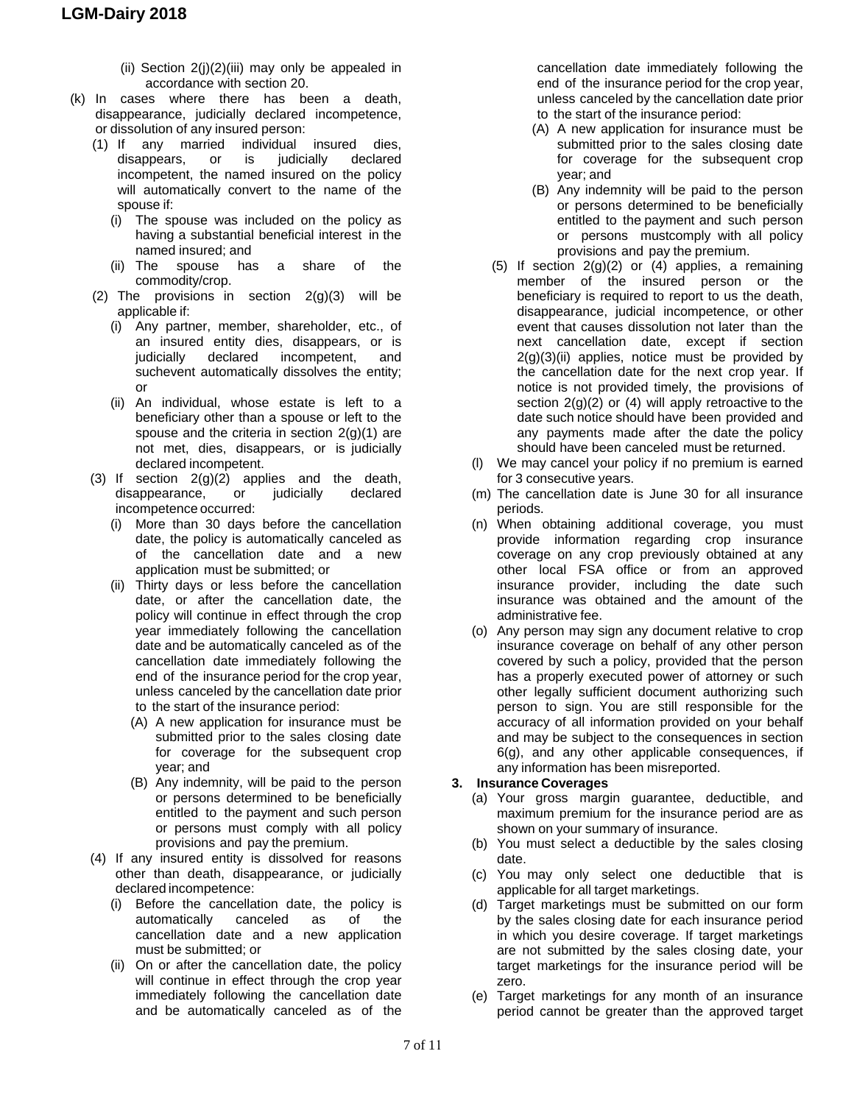- (ii) Section  $2(j)(2)(iii)$  may only be appealed in accordance with section 20.
- (k) In cases where there has been a death, disappearance, judicially declared incompetence, or dissolution of any insured person:
	- (1) If any married individual insured dies, disappears, or is judicially declared incompetent, the named insured on the policy will automatically convert to the name of the spouse if:
		- (i) The spouse was included on the policy as having a substantial beneficial interest in the named insured; and
		- (ii) The spouse has a share of the commodity/crop.
	- (2) The provisions in section 2(g)(3) will be applicable if:
		- (i) Any partner, member, shareholder, etc., of an insured entity dies, disappears, or is judicially declared incompetent, and suchevent automatically dissolves the entity; or
		- (ii) An individual, whose estate is left to a beneficiary other than a spouse or left to the spouse and the criteria in section  $2(g)(1)$  are not met, dies, disappears, or is judicially declared incompetent.
	- (3) If section  $2(g)(2)$  applies and the death,<br>disappearance, or judicially declared disappearance, or judicially incompetence occurred:
		- (i) More than 30 days before the cancellation date, the policy is automatically canceled as of the cancellation date and a new application must be submitted; or
		- (ii) Thirty days or less before the cancellation date, or after the cancellation date, the policy will continue in effect through the crop year immediately following the cancellation date and be automatically canceled as of the cancellation date immediately following the end of the insurance period for the crop year, unless canceled by the cancellation date prior to the start of the insurance period:
			- (A) A new application for insurance must be submitted prior to the sales closing date for coverage for the subsequent crop year; and
			- (B) Any indemnity, will be paid to the person or persons determined to be beneficially entitled to the payment and such person or persons must comply with all policy provisions and pay the premium.
	- (4) If any insured entity is dissolved for reasons other than death, disappearance, or judicially declared incompetence:
		- (i) Before the cancellation date, the policy is automatically canceled as of the cancellation date and a new application must be submitted; or
		- (ii) On or after the cancellation date, the policy will continue in effect through the crop year immediately following the cancellation date and be automatically canceled as of the

cancellation date immediately following the end of the insurance period for the crop year, unless canceled by the cancellation date prior to the start of the insurance period:

- (A) A new application for insurance must be submitted prior to the sales closing date for coverage for the subsequent crop year; and
- (B) Any indemnity will be paid to the person or persons determined to be beneficially entitled to the payment and such person or persons mustcomply with all policy provisions and pay the premium.
- (5) If section  $2(g)(2)$  or (4) applies, a remaining member of the insured person or the beneficiary is required to report to us the death, disappearance, judicial incompetence, or other event that causes dissolution not later than the next cancellation date, except if section  $2(g)(3)(ii)$  applies, notice must be provided by the cancellation date for the next crop year. If notice is not provided timely, the provisions of section  $2(g)(2)$  or (4) will apply retroactive to the date such notice should have been provided and any payments made after the date the policy should have been canceled must be returned.
- (l) We may cancel your policy if no premium is earned for 3 consecutive years.
- (m) The cancellation date is June 30 for all insurance periods.
- (n) When obtaining additional coverage, you must provide information regarding crop insurance coverage on any crop previously obtained at any other local FSA office or from an approved insurance provider, including the date such insurance was obtained and the amount of the administrative fee.
- (o) Any person may sign any document relative to crop insurance coverage on behalf of any other person covered by such a policy, provided that the person has a properly executed power of attorney or such other legally sufficient document authorizing such person to sign. You are still responsible for the accuracy of all information provided on your behalf and may be subject to the consequences in section 6(g), and any other applicable consequences, if any information has been misreported.

#### **3. Insurance Coverages**

- (a) Your gross margin guarantee, deductible, and maximum premium for the insurance period are as shown on your summary of insurance.
- (b) You must select a deductible by the sales closing date.
- (c) You may only select one deductible that is applicable for all target marketings.
- (d) Target marketings must be submitted on our form by the sales closing date for each insurance period in which you desire coverage. If target marketings are not submitted by the sales closing date, your target marketings for the insurance period will be zero.
- (e) Target marketings for any month of an insurance period cannot be greater than the approved target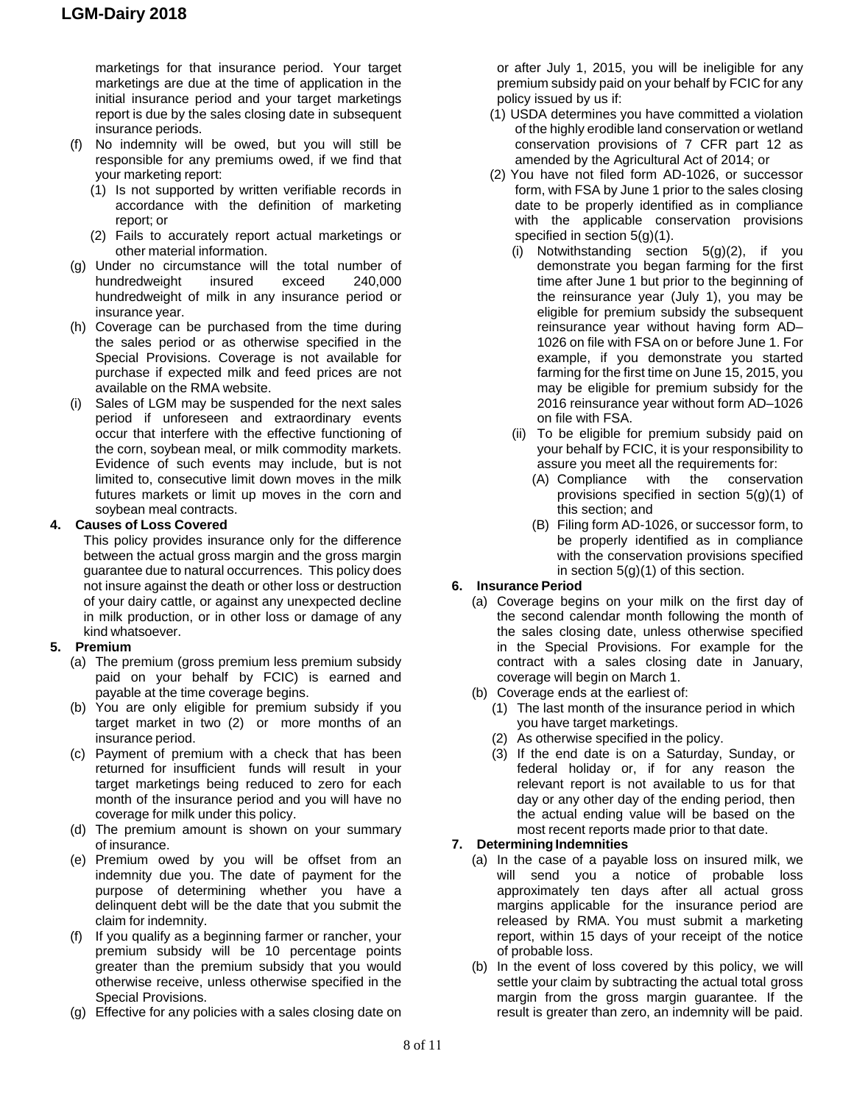marketings for that insurance period. Your target marketings are due at the time of application in the initial insurance period and your target marketings report is due by the sales closing date in subsequent insurance periods.

- (f) No indemnity will be owed, but you will still be responsible for any premiums owed, if we find that your marketing report:
	- (1) Is not supported by written verifiable records in accordance with the definition of marketing report; or
	- (2) Fails to accurately report actual marketings or other material information.
- (g) Under no circumstance will the total number of hundredweight insured exceed 240,000 hundredweight of milk in any insurance period or insurance year.
- (h) Coverage can be purchased from the time during the sales period or as otherwise specified in the Special Provisions. Coverage is not available for purchase if expected milk and feed prices are not available on the RMA website.
- (i) Sales of LGM may be suspended for the next sales period if unforeseen and extraordinary events occur that interfere with the effective functioning of the corn, soybean meal, or milk commodity markets. Evidence of such events may include, but is not limited to, consecutive limit down moves in the milk futures markets or limit up moves in the corn and soybean meal contracts.

#### **4. Causes of Loss Covered**

This policy provides insurance only for the difference between the actual gross margin and the gross margin guarantee due to natural occurrences. This policy does not insure against the death or other loss or destruction of your dairy cattle, or against any unexpected decline in milk production, or in other loss or damage of any kind whatsoever.

#### **5. Premium**

- (a) The premium (gross premium less premium subsidy paid on your behalf by FCIC) is earned and payable at the time coverage begins.
- (b) You are only eligible for premium subsidy if you target market in two (2) or more months of an insurance period.
- (c) Payment of premium with a check that has been returned for insufficient funds will result in your target marketings being reduced to zero for each month of the insurance period and you will have no coverage for milk under this policy.
- (d) The premium amount is shown on your summary of insurance.
- (e) Premium owed by you will be offset from an indemnity due you. The date of payment for the purpose of determining whether you have a delinquent debt will be the date that you submit the claim for indemnity.
- (f) If you qualify as a beginning farmer or rancher, your premium subsidy will be 10 percentage points greater than the premium subsidy that you would otherwise receive, unless otherwise specified in the Special Provisions.
- (g) Effective for any policies with a sales closing date on

or after July 1, 2015, you will be ineligible for any premium subsidy paid on your behalf by FCIC for any policy issued by us if:

- (1) USDA determines you have committed a violation of the highly erodible land conservation or wetland conservation provisions of 7 CFR part 12 as amended by the Agricultural Act of 2014; or
- (2) You have not filed form AD-1026, or successor form, with FSA by June 1 prior to the sales closing date to be properly identified as in compliance with the applicable conservation provisions specified in section 5(g)(1).
	- (i) Notwithstanding section 5(g)(2), if you demonstrate you began farming for the first time after June 1 but prior to the beginning of the reinsurance year (July 1), you may be eligible for premium subsidy the subsequent reinsurance year without having form AD– 1026 on file with FSA on or before June 1. For example, if you demonstrate you started farming for the first time on June 15, 2015, you may be eligible for premium subsidy for the 2016 reinsurance year without form AD–1026 on file with FSA.
	- (ii) To be eligible for premium subsidy paid on your behalf by FCIC, it is your responsibility to assure you meet all the requirements for:
		- (A) Compliance with the conservation provisions specified in section 5(g)(1) of this section; and
		- (B) Filing form AD-1026, or successor form, to be properly identified as in compliance with the conservation provisions specified in section 5(g)(1) of this section.

# **6. Insurance Period**

- (a) Coverage begins on your milk on the first day of the second calendar month following the month of the sales closing date, unless otherwise specified in the Special Provisions. For example for the contract with a sales closing date in January, coverage will begin on March 1.
- (b) Coverage ends at the earliest of:
	- (1) The last month of the insurance period in which you have target marketings.
	- (2) As otherwise specified in the policy.
	- (3) If the end date is on a Saturday, Sunday, or federal holiday or, if for any reason the relevant report is not available to us for that day or any other day of the ending period, then the actual ending value will be based on the most recent reports made prior to that date.

#### **7. Determining Indemnities**

- (a) In the case of a payable loss on insured milk, we will send you a notice of probable loss approximately ten days after all actual gross margins applicable for the insurance period are released by RMA. You must submit a marketing report, within 15 days of your receipt of the notice of probable loss.
- (b) In the event of loss covered by this policy, we will settle your claim by subtracting the actual total gross margin from the gross margin guarantee. If the result is greater than zero, an indemnity will be paid.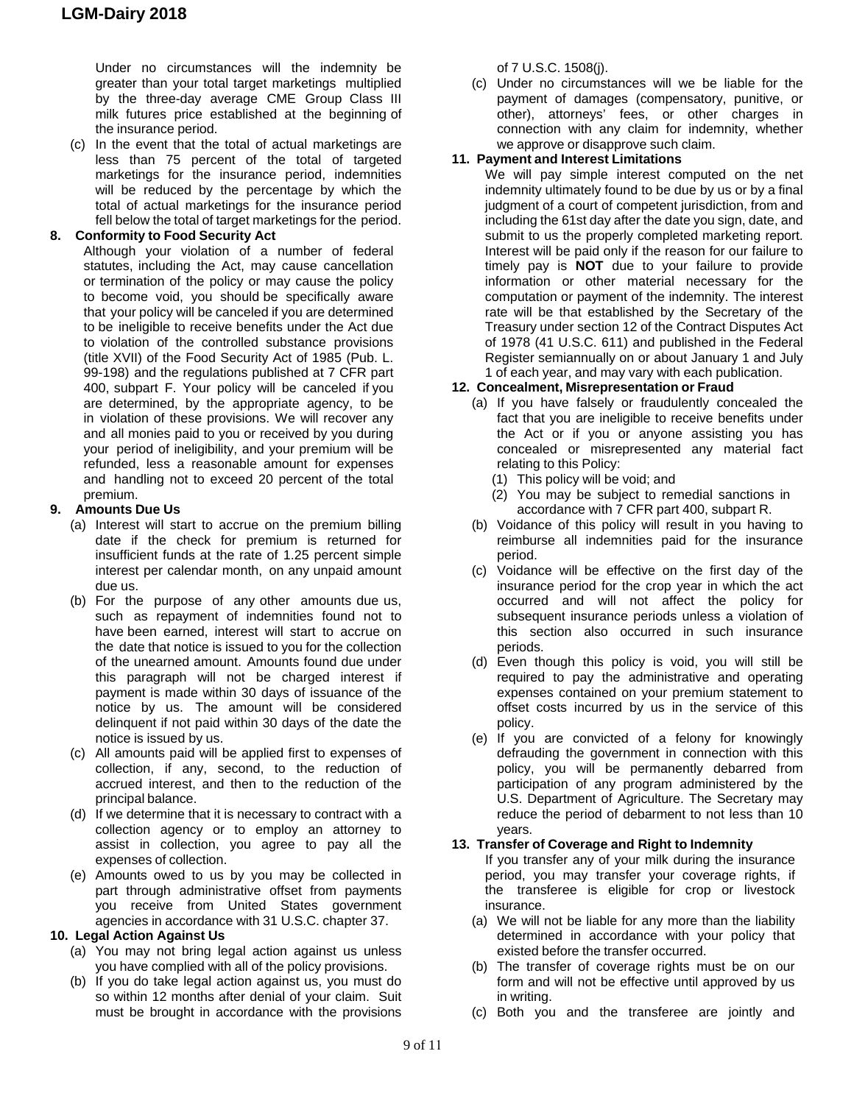Under no circumstances will the indemnity be greater than your total target marketings multiplied by the three-day average CME Group Class III milk futures price established at the beginning of the insurance period.

(c) In the event that the total of actual marketings are less than 75 percent of the total of targeted marketings for the insurance period, indemnities will be reduced by the percentage by which the total of actual marketings for the insurance period fell below the total of target marketings for the period.

# **8. Conformity to Food Security Act**

Although your violation of a number of federal statutes, including the Act, may cause cancellation or termination of the policy or may cause the policy to become void, you should be specifically aware that your policy will be canceled if you are determined to be ineligible to receive benefits under the Act due to violation of the controlled substance provisions (title XVII) of the Food Security Act of 1985 (Pub. L. 99-198) and the regulations published at 7 CFR part 400, subpart F. Your policy will be canceled if you are determined, by the appropriate agency, to be in violation of these provisions. We will recover any and all monies paid to you or received by you during your period of ineligibility, and your premium will be refunded, less a reasonable amount for expenses and handling not to exceed 20 percent of the total premium.

# **9. Amounts Due Us**

- (a) Interest will start to accrue on the premium billing date if the check for premium is returned for insufficient funds at the rate of 1.25 percent simple interest per calendar month, on any unpaid amount due us.
- (b) For the purpose of any other amounts due us, such as repayment of indemnities found not to have been earned, interest will start to accrue on the date that notice is issued to you for the collection of the unearned amount. Amounts found due under this paragraph will not be charged interest if payment is made within 30 days of issuance of the notice by us. The amount will be considered delinquent if not paid within 30 days of the date the notice is issued by us.
- (c) All amounts paid will be applied first to expenses of collection, if any, second, to the reduction of accrued interest, and then to the reduction of the principal balance.
- (d) If we determine that it is necessary to contract with a collection agency or to employ an attorney to assist in collection, you agree to pay all the expenses of collection.
- (e) Amounts owed to us by you may be collected in part through administrative offset from payments you receive from United States government agencies in accordance with 31 U.S.C. chapter 37.

# **10. Legal Action Against Us**

- (a) You may not bring legal action against us unless you have complied with all of the policy provisions.
- (b) If you do take legal action against us, you must do so within 12 months after denial of your claim. Suit must be brought in accordance with the provisions

of 7 U.S.C. 1508(j).

(c) Under no circumstances will we be liable for the payment of damages (compensatory, punitive, or other), attorneys' fees, or other charges in connection with any claim for indemnity, whether we approve or disapprove such claim.

### **11. Payment and Interest Limitations**

We will pay simple interest computed on the net indemnity ultimately found to be due by us or by a final judgment of a court of competent jurisdiction, from and including the 61st day after the date you sign, date, and submit to us the properly completed marketing report. Interest will be paid only if the reason for our failure to timely pay is **NOT** due to your failure to provide information or other material necessary for the computation or payment of the indemnity. The interest rate will be that established by the Secretary of the Treasury under section 12 of the Contract Disputes Act of 1978 (41 U.S.C. 611) and published in the Federal Register semiannually on or about January 1 and July 1 of each year, and may vary with each publication.

# **12. Concealment, Misrepresentation or Fraud**

- (a) If you have falsely or fraudulently concealed the fact that you are ineligible to receive benefits under the Act or if you or anyone assisting you has concealed or misrepresented any material fact relating to this Policy:
	- (1) This policy will be void; and
	- (2) You may be subject to remedial sanctions in accordance with 7 CFR part 400, subpart R.
- (b) Voidance of this policy will result in you having to reimburse all indemnities paid for the insurance period.
- (c) Voidance will be effective on the first day of the insurance period for the crop year in which the act occurred and will not affect the policy for subsequent insurance periods unless a violation of this section also occurred in such insurance periods.
- (d) Even though this policy is void, you will still be required to pay the administrative and operating expenses contained on your premium statement to offset costs incurred by us in the service of this policy.
- (e) If you are convicted of a felony for knowingly defrauding the government in connection with this policy, you will be permanently debarred from participation of any program administered by the U.S. Department of Agriculture. The Secretary may reduce the period of debarment to not less than 10 years.

#### **13. Transfer of Coverage and Right to Indemnity**

- If you transfer any of your milk during the insurance period, you may transfer your coverage rights, if the transferee is eligible for crop or livestock insurance.
- (a) We will not be liable for any more than the liability determined in accordance with your policy that existed before the transfer occurred.
- (b) The transfer of coverage rights must be on our form and will not be effective until approved by us in writing.
- (c) Both you and the transferee are jointly and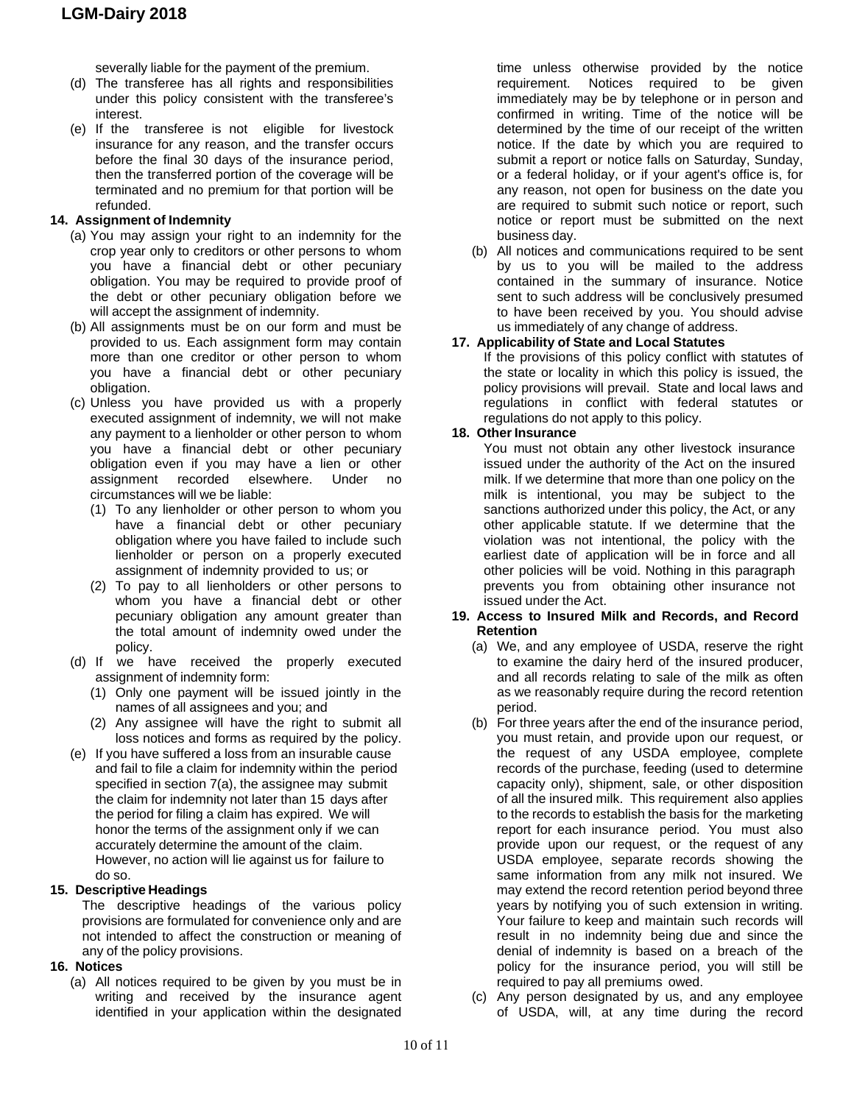severally liable for the payment of the premium.

- (d) The transferee has all rights and responsibilities under this policy consistent with the transferee's interest.
- (e) If the transferee is not eligible for livestock insurance for any reason, and the transfer occurs before the final 30 days of the insurance period, then the transferred portion of the coverage will be terminated and no premium for that portion will be refunded.

# **14. Assignment of Indemnity**

- (a) You may assign your right to an indemnity for the crop year only to creditors or other persons to whom you have a financial debt or other pecuniary obligation. You may be required to provide proof of the debt or other pecuniary obligation before we will accept the assignment of indemnity.
- (b) All assignments must be on our form and must be provided to us. Each assignment form may contain more than one creditor or other person to whom you have a financial debt or other pecuniary obligation.
- (c) Unless you have provided us with a properly executed assignment of indemnity, we will not make any payment to a lienholder or other person to whom you have a financial debt or other pecuniary obligation even if you may have a lien or other assignment recorded elsewhere. Under no circumstances will we be liable:
	- (1) To any lienholder or other person to whom you have a financial debt or other pecuniary obligation where you have failed to include such lienholder or person on a properly executed assignment of indemnity provided to us; or
	- (2) To pay to all lienholders or other persons to whom you have a financial debt or other pecuniary obligation any amount greater than the total amount of indemnity owed under the policy.
- (d) If we have received the properly executed assignment of indemnity form:
	- (1) Only one payment will be issued jointly in the names of all assignees and you; and
	- (2) Any assignee will have the right to submit all loss notices and forms as required by the policy.
- (e) If you have suffered a loss from an insurable cause and fail to file a claim for indemnity within the period specified in section 7(a), the assignee may submit the claim for indemnity not later than 15 days after the period for filing a claim has expired. We will honor the terms of the assignment only if we can accurately determine the amount of the claim. However, no action will lie against us for failure to do so.

#### **15. Descriptive Headings**

The descriptive headings of the various policy provisions are formulated for convenience only and are not intended to affect the construction or meaning of any of the policy provisions.

#### **16. Notices**

(a) All notices required to be given by you must be in writing and received by the insurance agent identified in your application within the designated

time unless otherwise provided by the notice requirement. Notices required to be given immediately may be by telephone or in person and confirmed in writing. Time of the notice will be determined by the time of our receipt of the written notice. If the date by which you are required to submit a report or notice falls on Saturday, Sunday, or a federal holiday, or if your agent's office is, for any reason, not open for business on the date you are required to submit such notice or report, such notice or report must be submitted on the next business day.

(b) All notices and communications required to be sent by us to you will be mailed to the address contained in the summary of insurance. Notice sent to such address will be conclusively presumed to have been received by you. You should advise us immediately of any change of address.

#### **17. Applicability of State and Local Statutes**

If the provisions of this policy conflict with statutes of the state or locality in which this policy is issued, the policy provisions will prevail. State and local laws and regulations in conflict with federal statutes or regulations do not apply to this policy.

#### **18. Other Insurance**

You must not obtain any other livestock insurance issued under the authority of the Act on the insured milk. If we determine that more than one policy on the milk is intentional, you may be subject to the sanctions authorized under this policy, the Act, or any other applicable statute. If we determine that the violation was not intentional, the policy with the earliest date of application will be in force and all other policies will be void. Nothing in this paragraph prevents you from obtaining other insurance not issued under the Act.

#### **19. Access to Insured Milk and Records, and Record Retention**

- (a) We, and any employee of USDA, reserve the right to examine the dairy herd of the insured producer, and all records relating to sale of the milk as often as we reasonably require during the record retention period.
- (b) For three years after the end of the insurance period, you must retain, and provide upon our request, or the request of any USDA employee, complete records of the purchase, feeding (used to determine capacity only), shipment, sale, or other disposition of all the insured milk. This requirement also applies to the records to establish the basis for the marketing report for each insurance period. You must also provide upon our request, or the request of any USDA employee, separate records showing the same information from any milk not insured. We may extend the record retention period beyond three years by notifying you of such extension in writing. Your failure to keep and maintain such records will result in no indemnity being due and since the denial of indemnity is based on a breach of the policy for the insurance period, you will still be required to pay all premiums owed.
- (c) Any person designated by us, and any employee of USDA, will, at any time during the record